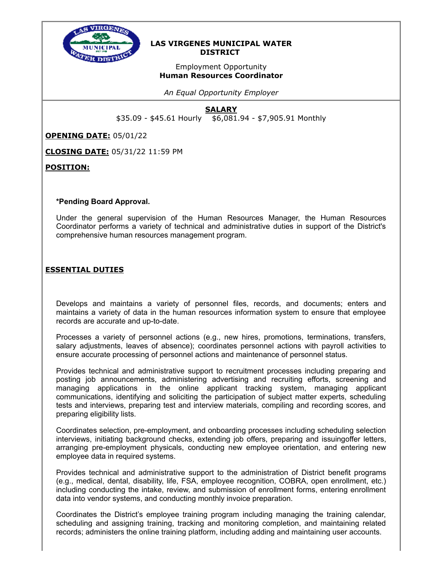

### **LAS VIRGENES MUNICIPAL WATER DISTRICT**

# Employment Opportunity **Human Resources Coordinator**

*An Equal Opportunity Employer*

# **SALARY**

\$35.09 - \$45.61 Hourly \$6,081.94 - \$7,905.91 Monthly

**OPENING DATE:** 05/01/22

**CLOSING DATE:** 05/31/22 11:59 PM

**POSITION:**

#### **\*Pending Board Approval.**

Under the general supervision of the Human Resources Manager, the Human Resources Coordinator performs a variety of technical and administrative duties in support of the District's comprehensive human resources management program.

# **ESSENTIAL DUTIES**

Develops and maintains a variety of personnel files, records, and documents; enters and maintains a variety of data in the human resources information system to ensure that employee records are accurate and up-to-date.

Processes a variety of personnel actions (e.g., new hires, promotions, terminations, transfers, salary adjustments, leaves of absence); coordinates personnel actions with payroll activities to ensure accurate processing of personnel actions and maintenance of personnel status.

Provides technical and administrative support to recruitment processes including preparing and posting job announcements, administering advertising and recruiting efforts, screening and managing applications in the online applicant tracking system, managing applicant communications, identifying and soliciting the participation of subject matter experts, scheduling tests and interviews, preparing test and interview materials, compiling and recording scores, and preparing eligibility lists.

Coordinates selection, pre-employment, and onboarding processes including scheduling selection interviews, initiating background checks, extending job offers, preparing and issuingoffer letters, arranging pre-employment physicals, conducting new employee orientation, and entering new employee data in required systems.

Provides technical and administrative support to the administration of District benefit programs (e.g., medical, dental, disability, life, FSA, employee recognition, COBRA, open enrollment, etc.) including conducting the intake, review, and submission of enrollment forms, entering enrollment data into vendor systems, and conducting monthly invoice preparation.

Coordinates the District's employee training program including managing the training calendar, scheduling and assigning training, tracking and monitoring completion, and maintaining related records; administers the online training platform, including adding and maintaining user accounts.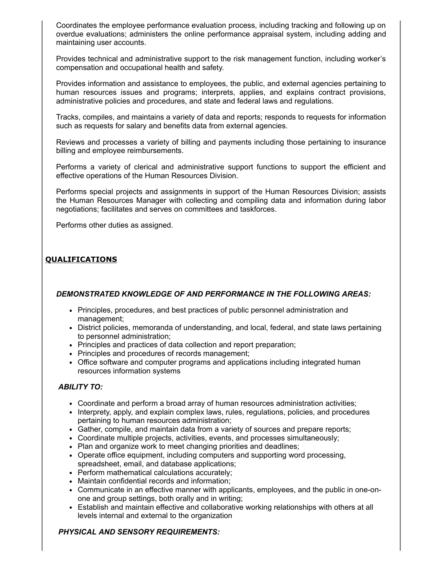Coordinates the employee performance evaluation process, including tracking and following up on overdue evaluations; administers the online performance appraisal system, including adding and maintaining user accounts.

Provides technical and administrative support to the risk management function, including worker's compensation and occupational health and safety.

Provides information and assistance to employees, the public, and external agencies pertaining to human resources issues and programs; interprets, applies, and explains contract provisions, administrative policies and procedures, and state and federal laws and regulations.

Tracks, compiles, and maintains a variety of data and reports; responds to requests for information such as requests for salary and benefits data from external agencies.

Reviews and processes a variety of billing and payments including those pertaining to insurance billing and employee reimbursements.

Performs a variety of clerical and administrative support functions to support the efficient and effective operations of the Human Resources Division.

Performs special projects and assignments in support of the Human Resources Division; assists the Human Resources Manager with collecting and compiling data and information during labor negotiations; facilitates and serves on committees and taskforces.

Performs other duties as assigned.

# **QUALIFICATIONS**

#### *DEMONSTRATED KNOWLEDGE OF AND PERFORMANCE IN THE FOLLOWING AREAS:*

- Principles, procedures, and best practices of public personnel administration and management;
- District policies, memoranda of understanding, and local, federal, and state laws pertaining to personnel administration;
- Principles and practices of data collection and report preparation;
- Principles and procedures of records management;
- Office software and computer programs and applications including integrated human resources information systems

#### *ABILITY TO:*

- Coordinate and perform a broad array of human resources administration activities;
- Interprety, apply, and explain complex laws, rules, regulations, policies, and procedures pertaining to human resources administration;
- Gather, compile, and maintain data from a variety of sources and prepare reports;
- Coordinate multiple projects, activities, events, and processes simultaneously;
- Plan and organize work to meet changing priorities and deadlines;
- Operate office equipment, including computers and supporting word processing, spreadsheet, email, and database applications;
- Perform mathematical calculations accurately;
- Maintain confidential records and information;
- Communicate in an effective manner with applicants, employees, and the public in one-onone and group settings, both orally and in writing;
- Establish and maintain effective and collaborative working relationships with others at all levels internal and external to the organization

#### *PHYSICAL AND SENSORY REQUIREMENTS:*